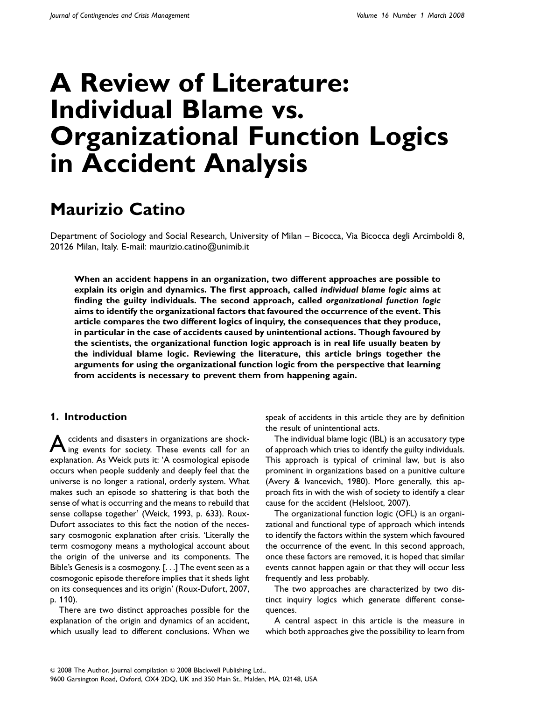# A Review of Literature: Individual Blame vs. Organizational Function Logics in Accident Analysis

# Maurizio Catino

Department of Sociology and Social Research, University of Milan – Bicocca, Via Bicocca degli Arcimboldi 8, 20126 Milan, Italy. E-mail: maurizio.catino@unimib.it

When an accident happens in an organization, two different approaches are possible to explain its origin and dynamics. The first approach, called individual blame logic aims at finding the guilty individuals. The second approach, called organizational function logic aims to identify the organizational factors that favoured the occurrence of the event. This article compares the two different logics of inquiry, the consequences that they produce, in particular in the case of accidents caused by unintentional actions. Though favoured by the scientists, the organizational function logic approach is in real life usually beaten by the individual blame logic. Reviewing the literature, this article brings together the arguments for using the organizational function logic from the perspective that learning from accidents is necessary to prevent them from happening again.

# 1. Introduction

A ccidents and disasters in organizations are shock-<br>ing events for society. These events call for an explanation. As Weick puts it: 'A cosmological episode occurs when people suddenly and deeply feel that the universe is no longer a rational, orderly system. What makes such an episode so shattering is that both the sense of what is occurring and the means to rebuild that sense collapse together' (Weick, 1993, p. 633). Roux-Dufort associates to this fact the notion of the necessary cosmogonic explanation after crisis. 'Literally the term cosmogony means a mythological account about the origin of the universe and its components. The Bible's Genesis is a cosmogony. [. . .] The event seen as a cosmogonic episode therefore implies that it sheds light on its consequences and its origin' (Roux-Dufort, 2007, p. 110).

There are two distinct approaches possible for the explanation of the origin and dynamics of an accident, which usually lead to different conclusions. When we speak of accidents in this article they are by definition the result of unintentional acts.

The individual blame logic (IBL) is an accusatory type of approach which tries to identify the guilty individuals. This approach is typical of criminal law, but is also prominent in organizations based on a punitive culture (Avery & Ivancevich, 1980). More generally, this approach fits in with the wish of society to identify a clear cause for the accident (Helsloot, 2007).

The organizational function logic (OFL) is an organizational and functional type of approach which intends to identify the factors within the system which favoured the occurrence of the event. In this second approach, once these factors are removed, it is hoped that similar events cannot happen again or that they will occur less frequently and less probably.

The two approaches are characterized by two distinct inquiry logics which generate different consequences.

A central aspect in this article is the measure in which both approaches give the possibility to learn from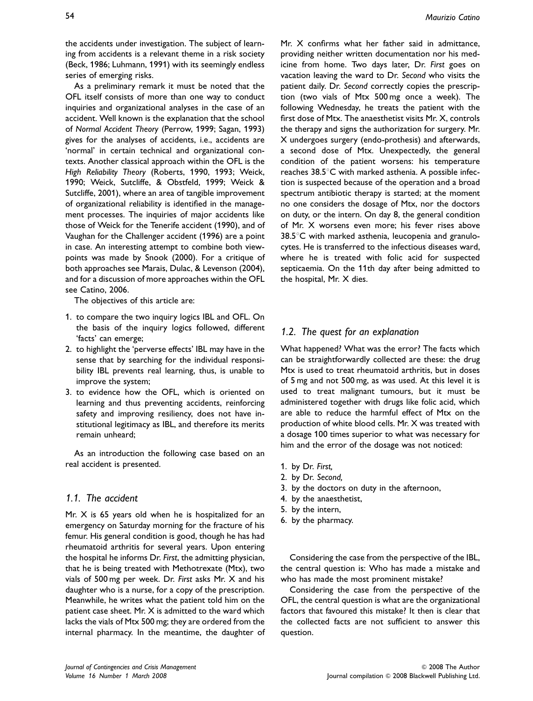the accidents under investigation. The subject of learning from accidents is a relevant theme in a risk society (Beck, 1986; Luhmann, 1991) with its seemingly endless series of emerging risks.

As a preliminary remark it must be noted that the OFL itself consists of more than one way to conduct inquiries and organizational analyses in the case of an accident. Well known is the explanation that the school of Normal Accident Theory (Perrow, 1999; Sagan, 1993) gives for the analyses of accidents, i.e., accidents are 'normal' in certain technical and organizational contexts. Another classical approach within the OFL is the High Reliability Theory (Roberts, 1990, 1993; Weick, 1990; Weick, Sutcliffe, & Obstfeld, 1999; Weick & Sutcliffe, 2001), where an area of tangible improvement of organizational reliability is identified in the management processes. The inquiries of major accidents like those of Weick for the Tenerife accident (1990), and of Vaughan for the Challenger accident (1996) are a point in case. An interesting attempt to combine both viewpoints was made by Snook (2000). For a critique of both approaches see Marais, Dulac, & Levenson (2004), and for a discussion of more approaches within the OFL see Catino, 2006.

The objectives of this article are:

- 1. to compare the two inquiry logics IBL and OFL. On the basis of the inquiry logics followed, different 'facts' can emerge;
- 2. to highlight the 'perverse effects' IBL may have in the sense that by searching for the individual responsibility IBL prevents real learning, thus, is unable to improve the system;
- 3. to evidence how the OFL, which is oriented on learning and thus preventing accidents, reinforcing safety and improving resiliency, does not have institutional legitimacy as IBL, and therefore its merits remain unheard;

As an introduction the following case based on an real accident is presented.

# 1.1. The accident

Mr. X is 65 years old when he is hospitalized for an emergency on Saturday morning for the fracture of his femur. His general condition is good, though he has had rheumatoid arthritis for several years. Upon entering the hospital he informs Dr. First, the admitting physician, that he is being treated with Methotrexate (Mtx), two vials of 500 mg per week. Dr. First asks Mr. X and his daughter who is a nurse, for a copy of the prescription. Meanwhile, he writes what the patient told him on the patient case sheet. Mr. X is admitted to the ward which lacks the vials of Mtx 500 mg; they are ordered from the internal pharmacy. In the meantime, the daughter of Mr. X confirms what her father said in admittance, providing neither written documentation nor his medicine from home. Two days later, Dr. First goes on vacation leaving the ward to Dr. Second who visits the patient daily. Dr. Second correctly copies the prescription (two vials of Mtx 500 mg once a week). The following Wednesday, he treats the patient with the first dose of Mtx. The anaesthetist visits Mr. X, controls the therapy and signs the authorization for surgery. Mr. X undergoes surgery (endo-prothesis) and afterwards, a second dose of Mtx. Unexpectedly, the general condition of the patient worsens: his temperature reaches  $38.5^{\circ}$ C with marked asthenia. A possible infection is suspected because of the operation and a broad spectrum antibiotic therapy is started; at the moment no one considers the dosage of Mtx, nor the doctors on duty, or the intern. On day 8, the general condition of Mr. X worsens even more; his fever rises above  $38.5^{\circ}$ C with marked asthenia, leucopenia and granulocytes. He is transferred to the infectious diseases ward, where he is treated with folic acid for suspected septicaemia. On the 11th day after being admitted to the hospital, Mr. X dies.

## 1.2. The quest for an explanation

What happened? What was the error? The facts which can be straightforwardly collected are these: the drug Mtx is used to treat rheumatoid arthritis, but in doses of 5 mg and not 500 mg, as was used. At this level it is used to treat malignant tumours, but it must be administered together with drugs like folic acid, which are able to reduce the harmful effect of Mtx on the production of white blood cells. Mr. X was treated with a dosage 100 times superior to what was necessary for him and the error of the dosage was not noticed:

- 1. by Dr. First,
- 2. by Dr. Second,
- 3. by the doctors on duty in the afternoon,
- 4. by the anaesthetist,
- 5. by the intern,
- 6. by the pharmacy.

Considering the case from the perspective of the IBL, the central question is: Who has made a mistake and who has made the most prominent mistake?

Considering the case from the perspective of the OFL, the central question is what are the organizational factors that favoured this mistake? It then is clear that the collected facts are not sufficient to answer this question.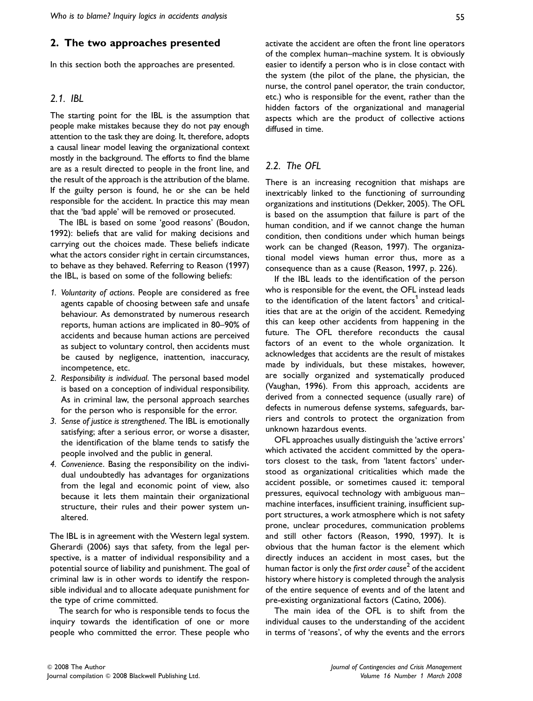### 2. The two approaches presented

In this section both the approaches are presented.

#### 2.1. IBL

The starting point for the IBL is the assumption that people make mistakes because they do not pay enough attention to the task they are doing. It, therefore, adopts a causal linear model leaving the organizational context mostly in the background. The efforts to find the blame are as a result directed to people in the front line, and the result of the approach is the attribution of the blame. If the guilty person is found, he or she can be held responsible for the accident. In practice this may mean that the 'bad apple' will be removed or prosecuted.

The IBL is based on some 'good reasons' (Boudon, 1992): beliefs that are valid for making decisions and carrying out the choices made. These beliefs indicate what the actors consider right in certain circumstances, to behave as they behaved. Referring to Reason (1997) the IBL, is based on some of the following beliefs:

- 1. Voluntarity of actions. People are considered as free agents capable of choosing between safe and unsafe behaviour. As demonstrated by numerous research reports, human actions are implicated in 80–90% of accidents and because human actions are perceived as subject to voluntary control, then accidents must be caused by negligence, inattention, inaccuracy, incompetence, etc.
- 2. Responsibility is individual. The personal based model is based on a conception of individual responsibility. As in criminal law, the personal approach searches for the person who is responsible for the error.
- 3. Sense of justice is strengthened. The IBL is emotionally satisfying; after a serious error, or worse a disaster, the identification of the blame tends to satisfy the people involved and the public in general.
- 4. Convenience. Basing the responsibility on the individual undoubtedly has advantages for organizations from the legal and economic point of view, also because it lets them maintain their organizational structure, their rules and their power system unaltered.

The IBL is in agreement with the Western legal system. Gherardi (2006) says that safety, from the legal perspective, is a matter of individual responsibility and a potential source of liability and punishment. The goal of criminal law is in other words to identify the responsible individual and to allocate adequate punishment for the type of crime committed.

The search for who is responsible tends to focus the inquiry towards the identification of one or more people who committed the error. These people who activate the accident are often the front line operators of the complex human–machine system. It is obviously easier to identify a person who is in close contact with the system (the pilot of the plane, the physician, the nurse, the control panel operator, the train conductor, etc.) who is responsible for the event, rather than the hidden factors of the organizational and managerial aspects which are the product of collective actions diffused in time.

#### 2.2. The OFL

There is an increasing recognition that mishaps are inextricably linked to the functioning of surrounding organizations and institutions (Dekker, 2005). The OFL is based on the assumption that failure is part of the human condition, and if we cannot change the human condition, then conditions under which human beings work can be changed (Reason, 1997). The organizational model views human error thus, more as a consequence than as a cause (Reason, 1997, p. 226).

If the IBL leads to the identification of the person who is responsible for the event, the OFL instead leads to the identification of the latent factors<sup>1</sup> and criticalities that are at the origin of the accident. Remedying this can keep other accidents from happening in the future. The OFL therefore reconducts the causal factors of an event to the whole organization. It acknowledges that accidents are the result of mistakes made by individuals, but these mistakes, however, are socially organized and systematically produced (Vaughan, 1996). From this approach, accidents are derived from a connected sequence (usually rare) of defects in numerous defense systems, safeguards, barriers and controls to protect the organization from unknown hazardous events.

OFL approaches usually distinguish the 'active errors' which activated the accident committed by the operators closest to the task, from 'latent factors' understood as organizational criticalities which made the accident possible, or sometimes caused it: temporal pressures, equivocal technology with ambiguous man– machine interfaces, insufficient training, insufficient support structures, a work atmosphere which is not safety prone, unclear procedures, communication problems and still other factors (Reason, 1990, 1997). It is obvious that the human factor is the element which directly induces an accident in most cases, but the human factor is only the first order cause<sup>2</sup> of the accident history where history is completed through the analysis of the entire sequence of events and of the latent and pre-existing organizational factors (Catino, 2006).

The main idea of the OFL is to shift from the individual causes to the understanding of the accident in terms of 'reasons', of why the events and the errors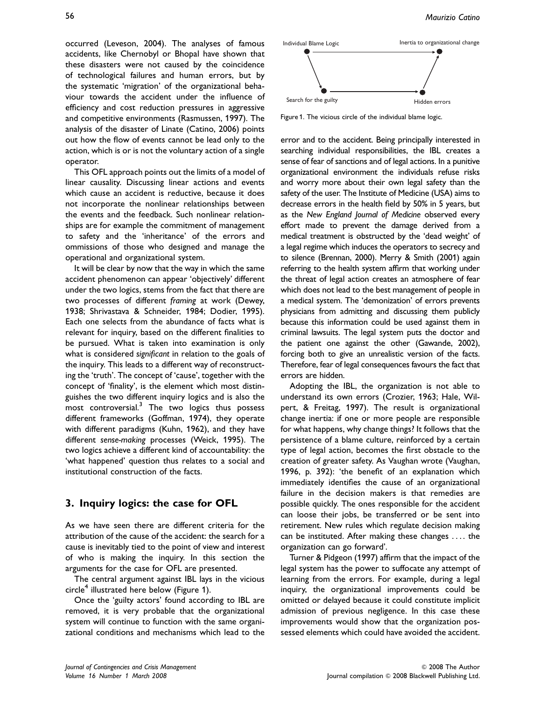occurred (Leveson, 2004). The analyses of famous accidents, like Chernobyl or Bhopal have shown that these disasters were not caused by the coincidence of technological failures and human errors, but by the systematic 'migration' of the organizational behaviour towards the accident under the influence of efficiency and cost reduction pressures in aggressive and competitive environments (Rasmussen, 1997). The analysis of the disaster of Linate (Catino, 2006) points out how the flow of events cannot be lead only to the action, which is or is not the voluntary action of a single operator.

This OFL approach points out the limits of a model of linear causality. Discussing linear actions and events which cause an accident is reductive, because it does not incorporate the nonlinear relationships between the events and the feedback. Such nonlinear relationships are for example the commitment of management to safety and the 'inheritance' of the errors and ommissions of those who designed and manage the operational and organizational system.

It will be clear by now that the way in which the same accident phenomenon can appear 'objectively' different under the two logics, stems from the fact that there are two processes of different framing at work (Dewey, 1938; Shrivastava & Schneider, 1984; Dodier, 1995). Each one selects from the abundance of facts what is relevant for inquiry, based on the different finalities to be pursued. What is taken into examination is only what is considered significant in relation to the goals of the inquiry. This leads to a different way of reconstructing the 'truth'. The concept of 'cause', together with the concept of 'finality', is the element which most distinguishes the two different inquiry logics and is also the most controversial. $3$  The two logics thus possess different frameworks (Goffman, 1974), they operate with different paradigms (Kuhn, 1962), and they have different sense-making processes (Weick, 1995). The two logics achieve a different kind of accountability: the 'what happened' question thus relates to a social and institutional construction of the facts.

# 3. Inquiry logics: the case for OFL

As we have seen there are different criteria for the attribution of the cause of the accident: the search for a cause is inevitably tied to the point of view and interest of who is making the inquiry. In this section the arguments for the case for OFL are presented.

The central argument against IBL lays in the vicious circle<sup>4</sup> illustrated here below (Figure 1).

Once the 'guilty actors' found according to IBL are removed, it is very probable that the organizational system will continue to function with the same organizational conditions and mechanisms which lead to the



Figure 1. The vicious circle of the individual blame logic.

error and to the accident. Being principally interested in searching individual responsibilities, the IBL creates a sense of fear of sanctions and of legal actions. In a punitive organizational environment the individuals refuse risks and worry more about their own legal safety than the safety of the user. The Institute of Medicine (USA) aims to decrease errors in the health field by 50% in 5 years, but as the New England Journal of Medicine observed every effort made to prevent the damage derived from a medical treatment is obstructed by the 'dead weight' of a legal regime which induces the operators to secrecy and to silence (Brennan, 2000). Merry & Smith (2001) again referring to the health system affirm that working under the threat of legal action creates an atmosphere of fear which does not lead to the best management of people in a medical system. The 'demonization' of errors prevents physicians from admitting and discussing them publicly because this information could be used against them in criminal lawsuits. The legal system puts the doctor and the patient one against the other (Gawande, 2002), forcing both to give an unrealistic version of the facts. Therefore, fear of legal consequences favours the fact that errors are hidden.

Adopting the IBL, the organization is not able to understand its own errors (Crozier, 1963; Hale, Wilpert, & Freitag, 1997). The result is organizational change inertia: if one or more people are responsible for what happens, why change things? It follows that the persistence of a blame culture, reinforced by a certain type of legal action, becomes the first obstacle to the creation of greater safety. As Vaughan wrote (Vaughan, 1996, p. 392): 'the benefit of an explanation which immediately identifies the cause of an organizational failure in the decision makers is that remedies are possible quickly. The ones responsible for the accident can loose their jobs, be transferred or be sent into retirement. New rules which regulate decision making can be instituted. After making these changes . . . . the organization can go forward'.

Turner & Pidgeon (1997) affirm that the impact of the legal system has the power to suffocate any attempt of learning from the errors. For example, during a legal inquiry, the organizational improvements could be omitted or delayed because it could constitute implicit admission of previous negligence. In this case these improvements would show that the organization possessed elements which could have avoided the accident.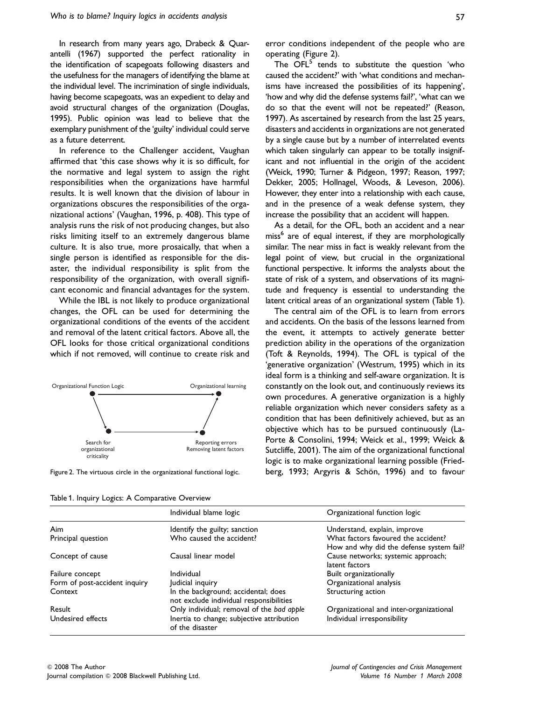In research from many years ago, Drabeck & Quarantelli (1967) supported the perfect rationality in the identification of scapegoats following disasters and the usefulness for the managers of identifying the blame at the individual level. The incrimination of single individuals, having become scapegoats, was an expedient to delay and avoid structural changes of the organization (Douglas, 1995). Public opinion was lead to believe that the exemplary punishment of the 'guilty' individual could serve as a future deterrent.

In reference to the Challenger accident, Vaughan affirmed that 'this case shows why it is so difficult, for the normative and legal system to assign the right responsibilities when the organizations have harmful results. It is well known that the division of labour in organizations obscures the responsibilities of the organizational actions' (Vaughan, 1996, p. 408). This type of analysis runs the risk of not producing changes, but also risks limiting itself to an extremely dangerous blame culture. It is also true, more prosaically, that when a single person is identified as responsible for the disaster, the individual responsibility is split from the responsibility of the organization, with overall significant economic and financial advantages for the system.

While the IBL is not likely to produce organizational changes, the OFL can be used for determining the organizational conditions of the events of the accident and removal of the latent critical factors. Above all, the OFL looks for those critical organizational conditions which if not removed, will continue to create risk and



Figure 2. The virtuous circle in the organizational functional logic.

|  |  |  | Table 1. Inquiry Logics: A Comparative Overview |  |
|--|--|--|-------------------------------------------------|--|
|--|--|--|-------------------------------------------------|--|

error conditions independent of the people who are operating (Figure 2).

The  $OFL<sup>5</sup>$  tends to substitute the question 'who caused the accident?' with 'what conditions and mechanisms have increased the possibilities of its happening', 'how and why did the defense systems fail?', 'what can we do so that the event will not be repeated?' (Reason, 1997). As ascertained by research from the last 25 years, disasters and accidents in organizations are not generated by a single cause but by a number of interrelated events which taken singularly can appear to be totally insignificant and not influential in the origin of the accident (Weick, 1990; Turner & Pidgeon, 1997; Reason, 1997; Dekker, 2005; Hollnagel, Woods, & Leveson, 2006). However, they enter into a relationship with each cause, and in the presence of a weak defense system, they increase the possibility that an accident will happen.

As a detail, for the OFL, both an accident and a near miss<sup>6</sup> are of equal interest, if they are morphologically similar. The near miss in fact is weakly relevant from the legal point of view, but crucial in the organizational functional perspective. It informs the analysts about the state of risk of a system, and observations of its magnitude and frequency is essential to understanding the latent critical areas of an organizational system (Table 1).

The central aim of the OFL is to learn from errors and accidents. On the basis of the lessons learned from the event, it attempts to actively generate better prediction ability in the operations of the organization (Toft & Reynolds, 1994). The OFL is typical of the 'generative organization' (Westrum, 1995) which in its ideal form is a thinking and self-aware organization. It is constantly on the look out, and continuously reviews its own procedures. A generative organization is a highly reliable organization which never considers safety as a condition that has been definitively achieved, but as an objective which has to be pursued continuously (La-Porte & Consolini, 1994; Weick et al., 1999; Weick & Sutcliffe, 2001). The aim of the organizational functional logic is to make organizational learning possible (Friedberg, 1993; Argyris & Schön, 1996) and to favour

|                               | Individual blame logic                                                                                    | Organizational function logic                                                   |
|-------------------------------|-----------------------------------------------------------------------------------------------------------|---------------------------------------------------------------------------------|
| Aim                           | Identify the guilty; sanction                                                                             | Understand, explain, improve                                                    |
| Principal question            | Who caused the accident?                                                                                  | What factors favoured the accident?<br>How and why did the defense system fail? |
| Concept of cause              | Causal linear model                                                                                       | Cause networks; systemic approach;<br>latent factors                            |
| Failure concept               | Individual                                                                                                | Built organizationally                                                          |
| Form of post-accident inquiry | Judicial inquiry                                                                                          | Organizational analysis                                                         |
| Context                       | In the background; accidental; does<br>not exclude individual responsibilities                            | Structuring action                                                              |
| Result<br>Undesired effects   | Only individual; removal of the bad apple<br>Inertia to change; subjective attribution<br>of the disaster | Organizational and inter-organizational<br>Individual irresponsibility          |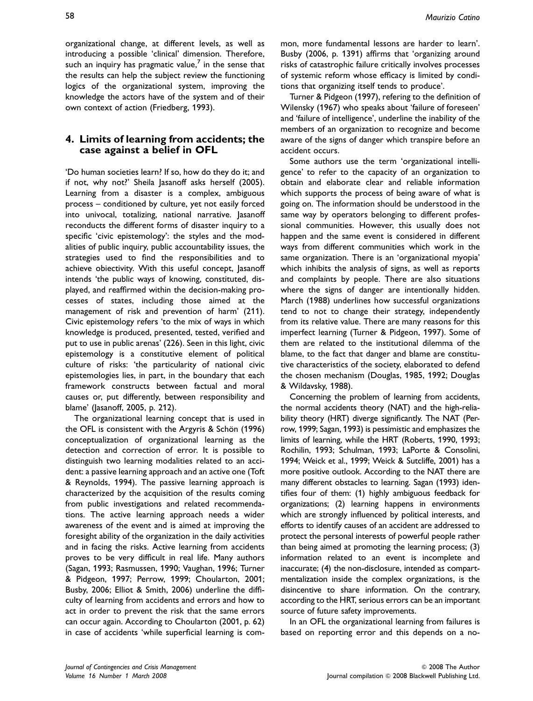organizational change, at different levels, as well as introducing a possible 'clinical' dimension. Therefore, such an inquiry has pragmatic value, $<sup>7</sup>$  in the sense that</sup> the results can help the subject review the functioning logics of the organizational system, improving the knowledge the actors have of the system and of their own context of action (Friedberg, 1993).

# 4. Limits of learning from accidents; the case against a belief in OFL

'Do human societies learn? If so, how do they do it; and if not, why not?' Sheila Jasanoff asks herself (2005). Learning from a disaster is a complex, ambiguous process – conditioned by culture, yet not easily forced into univocal, totalizing, national narrative. Jasanoff reconducts the different forms of disaster inquiry to a specific 'civic epistemology': the styles and the modalities of public inquiry, public accountability issues, the strategies used to find the responsibilities and to achieve obiectivity. With this useful concept, Jasanoff intends 'the public ways of knowing, constituted, displayed, and reaffirmed within the decision-making processes of states, including those aimed at the management of risk and prevention of harm' (211). Civic epistemology refers 'to the mix of ways in which knowledge is produced, presented, tested, verified and put to use in public arenas' (226). Seen in this light, civic epistemology is a constitutive element of political culture of risks: 'the particularity of national civic epistemologies lies, in part, in the boundary that each framework constructs between factual and moral causes or, put differently, between responsibility and blame' (Jasanoff, 2005, p. 212).

The organizational learning concept that is used in the OFL is consistent with the Argyris & Schön (1996) conceptualization of organizational learning as the detection and correction of error. It is possible to distinguish two learning modalities related to an accident: a passive learning approach and an active one (Toft & Reynolds, 1994). The passive learning approach is characterized by the acquisition of the results coming from public investigations and related recommendations. The active learning approach needs a wider awareness of the event and is aimed at improving the foresight ability of the organization in the daily activities and in facing the risks. Active learning from accidents proves to be very difficult in real life. Many authors (Sagan, 1993; Rasmussen, 1990; Vaughan, 1996; Turner & Pidgeon, 1997; Perrow, 1999; Choularton, 2001; Busby, 2006; Elliot & Smith, 2006) underline the difficulty of learning from accidents and errors and how to act in order to prevent the risk that the same errors can occur again. According to Choularton (2001, p. 62) in case of accidents 'while superficial learning is common, more fundamental lessons are harder to learn'. Busby (2006, p. 1391) affirms that 'organizing around risks of catastrophic failure critically involves processes of systemic reform whose efficacy is limited by conditions that organizing itself tends to produce'.

Turner & Pidgeon (1997), refering to the definition of Wilensky (1967) who speaks about 'failure of foreseen' and 'failure of intelligence', underline the inability of the members of an organization to recognize and become aware of the signs of danger which transpire before an accident occurs.

Some authors use the term 'organizational intelligence' to refer to the capacity of an organization to obtain and elaborate clear and reliable information which supports the process of being aware of what is going on. The information should be understood in the same way by operators belonging to different professional communities. However, this usually does not happen and the same event is considered in different ways from different communities which work in the same organization. There is an 'organizational myopia' which inhibits the analysis of signs, as well as reports and complaints by people. There are also situations where the signs of danger are intentionally hidden. March (1988) underlines how successful organizations tend to not to change their strategy, independently from its relative value. There are many reasons for this imperfect learning (Turner & Pidgeon, 1997). Some of them are related to the institutional dilemma of the blame, to the fact that danger and blame are constitutive characteristics of the society, elaborated to defend the chosen mechanism (Douglas, 1985, 1992; Douglas & Wildavsky, 1988).

Concerning the problem of learning from accidents, the normal accidents theory (NAT) and the high-reliability theory (HRT) diverge significantly. The NAT (Perrow, 1999; Sagan, 1993) is pessimistic and emphasizes the limits of learning, while the HRT (Roberts, 1990, 1993; Rochilin, 1993; Schulman, 1993; LaPorte & Consolini, 1994; Weick et al., 1999; Weick & Sutcliffe, 2001) has a more positive outlook. According to the NAT there are many different obstacles to learning. Sagan (1993) identifies four of them: (1) highly ambiguous feedback for organizations; (2) learning happens in environments which are strongly influenced by political interests, and efforts to identify causes of an accident are addressed to protect the personal interests of powerful people rather than being aimed at promoting the learning process; (3) information related to an event is incomplete and inaccurate; (4) the non-disclosure, intended as compartmentalization inside the complex organizations, is the disincentive to share information. On the contrary, according to the HRT, serious errors can be an important source of future safety improvements.

In an OFL the organizational learning from failures is based on reporting error and this depends on a no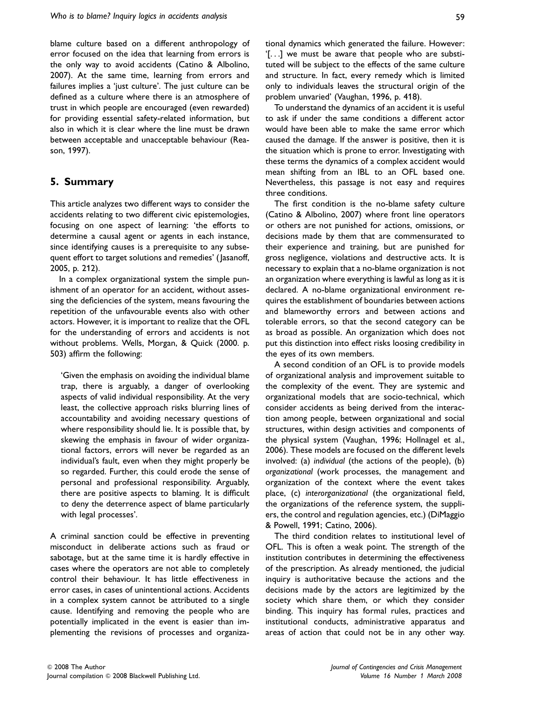blame culture based on a different anthropology of error focused on the idea that learning from errors is the only way to avoid accidents (Catino & Albolino, 2007). At the same time, learning from errors and failures implies a 'just culture'. The just culture can be defined as a culture where there is an atmosphere of trust in which people are encouraged (even rewarded) for providing essential safety-related information, but also in which it is clear where the line must be drawn between acceptable and unacceptable behaviour (Reason, 1997).

# 5. Summary

This article analyzes two different ways to consider the accidents relating to two different civic epistemologies, focusing on one aspect of learning: 'the efforts to determine a causal agent or agents in each instance, since identifying causes is a prerequisite to any subsequent effort to target solutions and remedies' (Jasanoff, 2005, p. 212).

In a complex organizational system the simple punishment of an operator for an accident, without assessing the deficiencies of the system, means favouring the repetition of the unfavourable events also with other actors. However, it is important to realize that the OFL for the understanding of errors and accidents is not without problems. Wells, Morgan, & Quick (2000. p. 503) affirm the following:

'Given the emphasis on avoiding the individual blame trap, there is arguably, a danger of overlooking aspects of valid individual responsibility. At the very least, the collective approach risks blurring lines of accountability and avoiding necessary questions of where responsibility should lie. It is possible that, by skewing the emphasis in favour of wider organizational factors, errors will never be regarded as an individual's fault, even when they might properly be so regarded. Further, this could erode the sense of personal and professional responsibility. Arguably, there are positive aspects to blaming. It is difficult to deny the deterrence aspect of blame particularly with legal processes'.

A criminal sanction could be effective in preventing misconduct in deliberate actions such as fraud or sabotage, but at the same time it is hardly effective in cases where the operators are not able to completely control their behaviour. It has little effectiveness in error cases, in cases of unintentional actions. Accidents in a complex system cannot be attributed to a single cause. Identifying and removing the people who are potentially implicated in the event is easier than implementing the revisions of processes and organiza-

tional dynamics which generated the failure. However: '[. . .] we must be aware that people who are substituted will be subject to the effects of the same culture and structure. In fact, every remedy which is limited only to individuals leaves the structural origin of the problem unvaried' (Vaughan, 1996, p. 418).

To understand the dynamics of an accident it is useful to ask if under the same conditions a different actor would have been able to make the same error which caused the damage. If the answer is positive, then it is the situation which is prone to error. Investigating with these terms the dynamics of a complex accident would mean shifting from an IBL to an OFL based one. Nevertheless, this passage is not easy and requires three conditions.

The first condition is the no-blame safety culture (Catino & Albolino, 2007) where front line operators or others are not punished for actions, omissions, or decisions made by them that are commensurated to their experience and training, but are punished for gross negligence, violations and destructive acts. It is necessary to explain that a no-blame organization is not an organization where everything is lawful as long as it is declared. A no-blame organizational environment requires the establishment of boundaries between actions and blameworthy errors and between actions and tolerable errors, so that the second category can be as broad as possible. An organization which does not put this distinction into effect risks loosing credibility in the eyes of its own members.

A second condition of an OFL is to provide models of organizational analysis and improvement suitable to the complexity of the event. They are systemic and organizational models that are socio-technical, which consider accidents as being derived from the interaction among people, between organizational and social structures, within design activities and components of the physical system (Vaughan, 1996; Hollnagel et al., 2006). These models are focused on the different levels involved: (a) individual (the actions of the people), (b) organizational (work processes, the management and organization of the context where the event takes place, (c) interorganizational (the organizational field, the organizations of the reference system, the suppliers, the control and regulation agencies, etc.) (DiMaggio & Powell, 1991; Catino, 2006).

The third condition relates to institutional level of OFL. This is often a weak point. The strength of the institution contributes in determining the effectiveness of the prescription. As already mentioned, the judicial inquiry is authoritative because the actions and the decisions made by the actors are legitimized by the society which share them, or which they consider binding. This inquiry has formal rules, practices and institutional conducts, administrative apparatus and areas of action that could not be in any other way.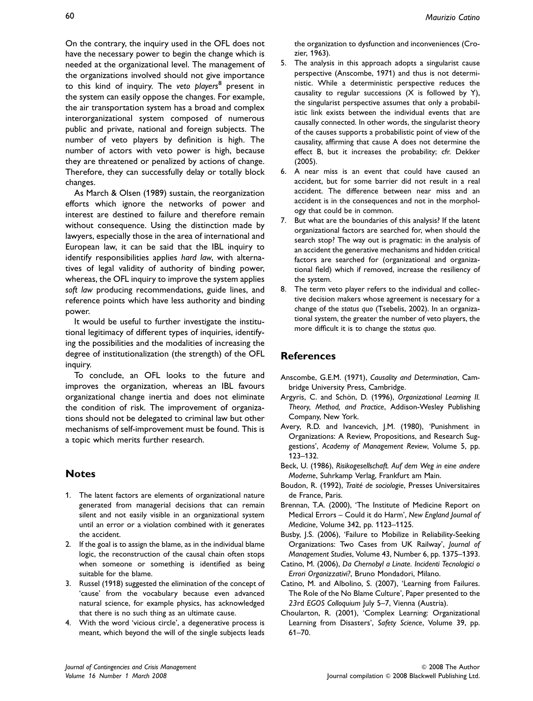On the contrary, the inquiry used in the OFL does not have the necessary power to begin the change which is needed at the organizational level. The management of the organizations involved should not give importance to this kind of inquiry. The veto players<sup>8</sup> present in the system can easily oppose the changes. For example, the air transportation system has a broad and complex interorganizational system composed of numerous public and private, national and foreign subjects. The number of veto players by definition is high. The number of actors with veto power is high, because they are threatened or penalized by actions of change. Therefore, they can successfully delay or totally block changes.

As March & Olsen (1989) sustain, the reorganization efforts which ignore the networks of power and interest are destined to failure and therefore remain without consequence. Using the distinction made by lawyers, especially those in the area of international and European law, it can be said that the IBL inquiry to identify responsibilities applies hard law, with alternatives of legal validity of authority of binding power, whereas, the OFL inquiry to improve the system applies soft law producing recommendations, guide lines, and reference points which have less authority and binding power.

It would be useful to further investigate the institutional legitimacy of different types of inquiries, identifying the possibilities and the modalities of increasing the degree of institutionalization (the strength) of the OFL inquiry.

To conclude, an OFL looks to the future and improves the organization, whereas an IBL favours organizational change inertia and does not eliminate the condition of risk. The improvement of organizations should not be delegated to criminal law but other mechanisms of self-improvement must be found. This is a topic which merits further research.

# **Notes**

- 1. The latent factors are elements of organizational nature generated from managerial decisions that can remain silent and not easily visible in an organizational system until an error or a violation combined with it generates the accident.
- 2. If the goal is to assign the blame, as in the individual blame logic, the reconstruction of the causal chain often stops when someone or something is identified as being suitable for the blame.
- 3. Russel (1918) suggested the elimination of the concept of 'cause' from the vocabulary because even advanced natural science, for example physics, has acknowledged that there is no such thing as an ultimate cause.
- 4. With the word 'vicious circle', a degenerative process is meant, which beyond the will of the single subjects leads

the organization to dysfunction and inconveniences (Crozier, 1963).

- 5. The analysis in this approach adopts a singularist cause perspective (Anscombe, 1971) and thus is not deterministic. While a deterministic perspective reduces the causality to regular successions  $(X$  is followed by  $Y$ ), the singularist perspective assumes that only a probabilistic link exists between the individual events that are causally connected. In other words, the singularist theory of the causes supports a probabilistic point of view of the causality, affirming that cause A does not determine the effect B, but it increases the probability; cfr. Dekker (2005).
- 6. A near miss is an event that could have caused an accident, but for some barrier did not result in a real accident. The difference between near miss and an accident is in the consequences and not in the morphology that could be in common.
- 7. But what are the boundaries of this analysis? If the latent organizational factors are searched for, when should the search stop? The way out is pragmatic: in the analysis of an accident the generative mechanisms and hidden critical factors are searched for (organizational and organizational field) which if removed, increase the resiliency of the system.
- 8. The term veto player refers to the individual and collective decision makers whose agreement is necessary for a change of the status quo (Tsebelis, 2002). In an organizational system, the greater the number of veto players, the more difficult it is to change the status quo.

# **References**

- Anscombe, G.E.M. (1971), Causality and Determination, Cambridge University Press, Cambridge.
- Argyris, C. and Schön, D. (1996), Organizational Learning II. Theory, Method, and Practice, Addison-Wesley Publishing Company, New York.
- Avery, R.D. and Ivancevich, J.M. (1980), 'Punishment in Organizations: A Review, Propositions, and Research Suggestions', Academy of Management Review, Volume 5, pp. 123–132.
- Beck, U. (1986), Risikogesellschaft. Auf dem Weg in eine andere Moderne, Suhrkamp Verlag, Frankfurt am Main.
- Boudon, R. (1992), Traité de sociologie, Presses Universitaires de France, Paris.
- Brennan, T.A. (2000), 'The Institute of Medicine Report on Medical Errors – Could it do Harm', New England Journal of Medicine, Volume 342, pp. 1123–1125.
- Busby, J.S. (2006), 'Failure to Mobilize in Reliability-Seeking Organizations: Two Cases from UK Railway', Journal of Management Studies, Volume 43, Number 6, pp. 1375–1393.
- Catino, M. (2006), Da Chernobyl a Linate. Incidenti Tecnologici o Errori Organizzativi?, Bruno Mondadori, Milano.
- Catino, M. and Albolino, S. (2007), 'Learning from Failures. The Role of the No Blame Culture', Paper presented to the 23rd EGOS Colloquium July 5–7, Vienna (Austria).
- Choularton, R. (2001), 'Complex Learning: Organizational Learning from Disasters', Safety Science, Volume 39, pp. 61–70.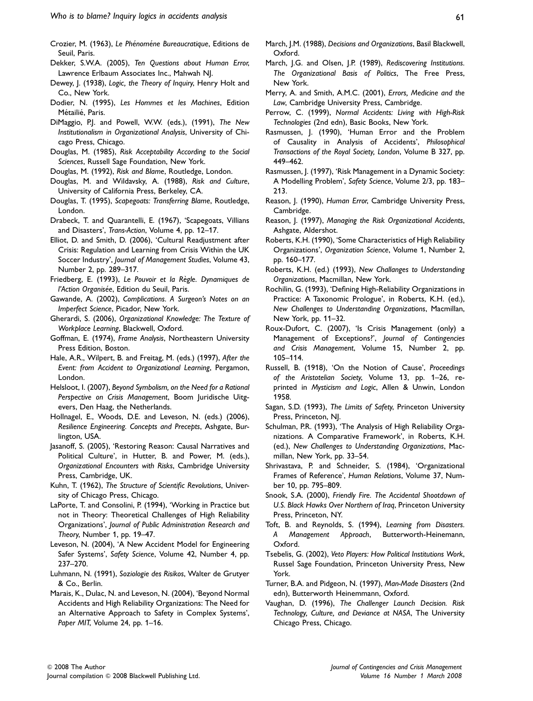- Crozier, M. (1963), Le Phénoméne Bureaucratique, Editions de Seuil, Paris.
- Dekker, S.W.A. (2005), Ten Questions about Human Error, Lawrence Erlbaum Associates Inc., Mahwah NJ.
- Dewey, J. (1938), Logic, the Theory of Inquiry, Henry Holt and Co., New York.
- Dodier, N. (1995), Les Hommes et les Machines, Edition Métailié, Paris.
- DiMaggio, P.J. and Powell, W.W. (eds.), (1991), The New Institutionalism in Organizational Analysis, University of Chicago Press, Chicago.
- Douglas, M. (1985), Risk Acceptability According to the Social Sciences, Russell Sage Foundation, New York.
- Douglas, M. (1992), Risk and Blame, Routledge, London.
- Douglas, M. and Wildavsky, A. (1988), Risk and Culture, University of California Press, Berkeley, CA.
- Douglas, T. (1995), Scapegoats: Transferring Blame, Routledge, London.
- Drabeck, T. and Quarantelli, E. (1967), 'Scapegoats, Villians and Disasters', Trans-Action, Volume 4, pp. 12–17.
- Elliot, D. and Smith, D. (2006), 'Cultural Readjustment after Crisis: Regulation and Learning from Crisis Within the UK Soccer Industry', Journal of Management Studies, Volume 43, Number 2, pp. 289–317.
- Friedberg, E. (1993), Le Pouvoir et la Règle. Dynamiques de l'Action Organisée, Edition du Seuil, Paris.
- Gawande, A. (2002), Complications. A Surgeon's Notes on an Imperfect Science, Picador, New York.
- Gherardi, S. (2006), Organizational Knowledge: The Texture of Workplace Learning, Blackwell, Oxford.
- Goffman, E. (1974), Frame Analysis, Northeastern University Press Edition, Boston.
- Hale, A.R., Wilpert, B. and Freitag, M. (eds.) (1997), After the Event: from Accident to Organizational Learning, Pergamon, London.
- Helsloot, I. (2007), Beyond Symbolism, on the Need for a Rational Perspective on Crisis Management, Boom Juridische Uitgevers, Den Haag, the Netherlands.
- Hollnagel, E., Woods, D.E. and Leveson, N. (eds.) (2006), Resilience Engineering. Concepts and Precepts, Ashgate, Burlington, USA.
- Jasanoff, S. (2005), 'Restoring Reason: Causal Narratives and Political Culture', in Hutter, B. and Power, M. (eds.), Organizational Encounters with Risks, Cambridge University Press, Cambridge, UK.
- Kuhn, T. (1962), The Structure of Scientific Revolutions, University of Chicago Press, Chicago.
- LaPorte, T. and Consolini, P. (1994), 'Working in Practice but not in Theory: Theoretical Challenges of High Reliability Organizations', Journal of Public Administration Research and Theory, Number 1, pp. 19–47.
- Leveson, N. (2004), 'A New Accident Model for Engineering Safer Systems', Safety Science, Volume 42, Number 4, pp. 237–270.
- Luhmann, N. (1991), Soziologie des Risikos, Walter de Grutyer & Co., Berlin.
- Marais, K., Dulac, N. and Leveson, N. (2004), 'Beyond Normal Accidents and High Reliability Organizations: The Need for an Alternative Approach to Safety in Complex Systems', Paper MIT, Volume 24, pp. 1-16.
- March, J.M. (1988), Decisions and Organizations, Basil Blackwell, Oxford.
- March, J.G. and Olsen, J.P. (1989), Rediscovering Institutions. The Organizational Basis of Politics, The Free Press, New York.
- Merry, A. and Smith, A.M.C. (2001), Errors, Medicine and the Law, Cambridge University Press, Cambridge.
- Perrow, C. (1999), Normal Accidents: Living with High-Risk Technologies (2nd edn), Basic Books, New York.
- Rasmussen, J. (1990), 'Human Error and the Problem of Causality in Analysis of Accidents', Philosophical Transactions of the Royal Society, London, Volume B 327, pp. 449–462.
- Rasmussen, J. (1997), 'Risk Management in a Dynamic Society: A Modelling Problem', Safety Science, Volume 2/3, pp. 183– 213.
- Reason, J. (1990), Human Error, Cambridge University Press, Cambridge.
- Reason, J. (1997), Managing the Risk Organizational Accidents, Ashgate, Aldershot.
- Roberts, K.H. (1990), 'Some Characteristics of High Reliability Organizations', Organization Science, Volume 1, Number 2, pp. 160–177.
- Roberts, K.H. (ed.) (1993), New Challanges to Understanding Organizations, Macmillan, New York.
- Rochilin, G. (1993), 'Defining High-Reliability Organizations in Practice: A Taxonomic Prologue', in Roberts, K.H. (ed.), New Challenges to Understanding Organizations, Macmillan, New York, pp. 11–32.
- Roux-Dufort, C. (2007), 'Is Crisis Management (only) a Management of Exceptions?', Journal of Contingencies and Crisis Management, Volume 15, Number 2, pp. 105–114.
- Russell, B. (1918), 'On the Notion of Cause', Proceedings of the Aristotelian Society, Volume 13, pp. 1–26, reprinted in Mysticism and Logic, Allen & Unwin, London 1958.
- Sagan, S.D. (1993), The Limits of Safety, Princeton University Press, Princeton, NJ.
- Schulman, P.R. (1993), 'The Analysis of High Reliability Organizations. A Comparative Framework', in Roberts, K.H. (ed.), New Challenges to Understanding Organizations, Macmillan, New York, pp. 33–54.
- Shrivastava, P. and Schneider, S. (1984), 'Organizational Frames of Reference', Human Relations, Volume 37, Number 10, pp. 795–809.
- Snook, S.A. (2000), Friendly Fire. The Accidental Shootdown of U.S. Black Hawks Over Northern of Iraq, Princeton University Press, Princeton, NY.
- Toft, B. and Reynolds, S. (1994), Learning from Disasters. A Management Approach, Butterworth-Heinemann, Oxford.
- Tsebelis, G. (2002), Veto Players: How Political Institutions Work, Russel Sage Foundation, Princeton University Press, New York.
- Turner, B.A. and Pidgeon, N. (1997), Man-Made Disasters (2nd edn), Butterworth Heinemmann, Oxford.
- Vaughan, D. (1996), The Challenger Launch Decision. Risk Technology, Culture, and Deviance at NASA, The University Chicago Press, Chicago.